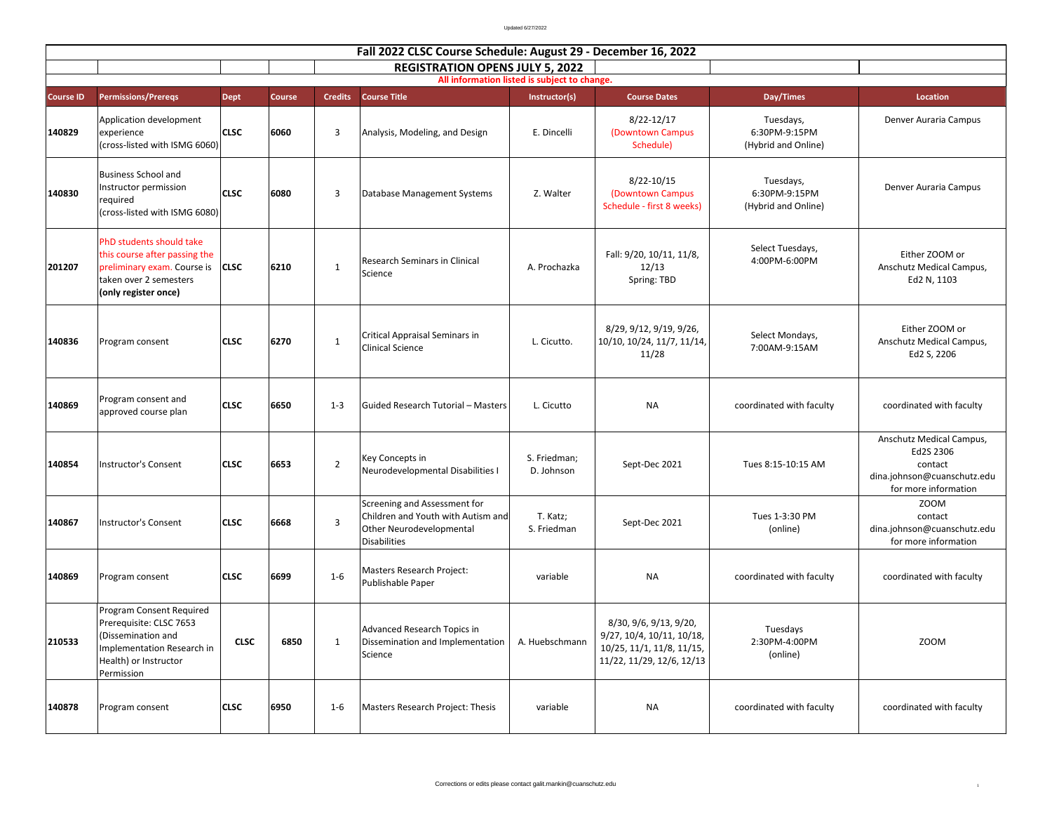| Fall 2022 CLSC Course Schedule: August 29 - December 16, 2022 |                                                                                                                                                |             |        |                |                                                                                                                       |                            |                                                                                                               |                                                   |                                                                                                         |  |  |
|---------------------------------------------------------------|------------------------------------------------------------------------------------------------------------------------------------------------|-------------|--------|----------------|-----------------------------------------------------------------------------------------------------------------------|----------------------------|---------------------------------------------------------------------------------------------------------------|---------------------------------------------------|---------------------------------------------------------------------------------------------------------|--|--|
|                                                               | <b>REGISTRATION OPENS JULY 5, 2022</b>                                                                                                         |             |        |                |                                                                                                                       |                            |                                                                                                               |                                                   |                                                                                                         |  |  |
| All information listed is subject to change.                  |                                                                                                                                                |             |        |                |                                                                                                                       |                            |                                                                                                               |                                                   |                                                                                                         |  |  |
| <b>Course ID</b>                                              | <b>Permissions/Preregs</b>                                                                                                                     | <b>Dept</b> | Course | <b>Credits</b> | <b>Course Title</b>                                                                                                   | Instructor(s)              | <b>Course Dates</b>                                                                                           | Day/Times                                         | Location                                                                                                |  |  |
| 140829                                                        | Application development<br>experience<br>(cross-listed with ISMG 6060)                                                                         | <b>CLSC</b> | 6060   | 3              | Analysis, Modeling, and Design                                                                                        | E. Dincelli                | $8/22 - 12/17$<br>(Downtown Campus<br>Schedule)                                                               | Tuesdays,<br>6:30PM-9:15PM<br>(Hybrid and Online) | Denver Auraria Campus                                                                                   |  |  |
| 140830                                                        | <b>Business School and</b><br>Instructor permission<br>required<br>(cross-listed with ISMG 6080)                                               | <b>CLSC</b> | 6080   | 3              | Database Management Systems                                                                                           | Z. Walter                  | 8/22-10/15<br>(Downtown Campus<br>Schedule - first 8 weeks)                                                   | Tuesdays,<br>6:30PM-9:15PM<br>(Hybrid and Online) | Denver Auraria Campus                                                                                   |  |  |
| 201207                                                        | PhD students should take<br>this course after passing the<br>preliminary exam. Course is<br>taken over 2 semesters<br>(only register once)     | <b>CLSC</b> | 6210   | $\mathbf{1}$   | Research Seminars in Clinical<br>Science                                                                              | A. Prochazka               | Fall: 9/20, 10/11, 11/8,<br>12/13<br>Spring: TBD                                                              | Select Tuesdays,<br>4:00PM-6:00PM                 | Either ZOOM or<br>Anschutz Medical Campus,<br>Ed2 N, 1103                                               |  |  |
| 140836                                                        | Program consent                                                                                                                                | <b>CLSC</b> | 6270   | $\mathbf{1}$   | Critical Appraisal Seminars in<br><b>Clinical Science</b>                                                             | L. Cicutto.                | 8/29, 9/12, 9/19, 9/26,<br>10/10, 10/24, 11/7, 11/14,<br>11/28                                                | Select Mondays,<br>7:00AM-9:15AM                  | Either ZOOM or<br>Anschutz Medical Campus,<br>Ed2 S, 2206                                               |  |  |
| 140869                                                        | Program consent and<br>approved course plan                                                                                                    | <b>CLSC</b> | 6650   | $1 - 3$        | Guided Research Tutorial - Masters                                                                                    | L. Cicutto                 | <b>NA</b>                                                                                                     | coordinated with faculty                          | coordinated with faculty                                                                                |  |  |
| 140854                                                        | <b>Instructor's Consent</b>                                                                                                                    | <b>CLSC</b> | 6653   | $\overline{2}$ | Key Concepts in<br>Neurodevelopmental Disabilities I                                                                  | S. Friedman;<br>D. Johnson | Sept-Dec 2021                                                                                                 | Tues 8:15-10:15 AM                                | Anschutz Medical Campus,<br>Ed2S 2306<br>contact<br>dina.johnson@cuanschutz.edu<br>for more information |  |  |
| 140867                                                        | Instructor's Consent                                                                                                                           | <b>CLSC</b> | 6668   | 3              | Screening and Assessment for<br>Children and Youth with Autism and<br>Other Neurodevelopmental<br><b>Disabilities</b> | T. Katz;<br>S. Friedman    | Sept-Dec 2021                                                                                                 | Tues 1-3:30 PM<br>(online)                        | <b>ZOOM</b><br>contact<br>dina.johnson@cuanschutz.edu<br>for more information                           |  |  |
| 140869                                                        | Program consent                                                                                                                                | <b>CLSC</b> | 6699   | $1-6$          | Masters Research Project:<br>Publishable Paper                                                                        | variable                   | <b>NA</b>                                                                                                     | coordinated with faculty                          | coordinated with faculty                                                                                |  |  |
| 210533                                                        | Program Consent Required<br>Prerequisite: CLSC 7653<br>(Dissemination and<br>Implementation Research in<br>Health) or Instructor<br>Permission | <b>CLSC</b> | 6850   | $\mathbf{1}$   | Advanced Research Topics in<br>Dissemination and Implementation<br>Science                                            | A. Huebschmann             | 8/30, 9/6, 9/13, 9/20,<br>9/27, 10/4, 10/11, 10/18,<br>10/25, 11/1, 11/8, 11/15,<br>11/22, 11/29, 12/6, 12/13 | Tuesdays<br>2:30PM-4:00PM<br>(online)             | <b>ZOOM</b>                                                                                             |  |  |
| 140878                                                        | Program consent                                                                                                                                | <b>CLSC</b> | 6950   | $1-6$          | Masters Research Project: Thesis                                                                                      | variable                   | <b>NA</b>                                                                                                     | coordinated with faculty                          | coordinated with faculty                                                                                |  |  |